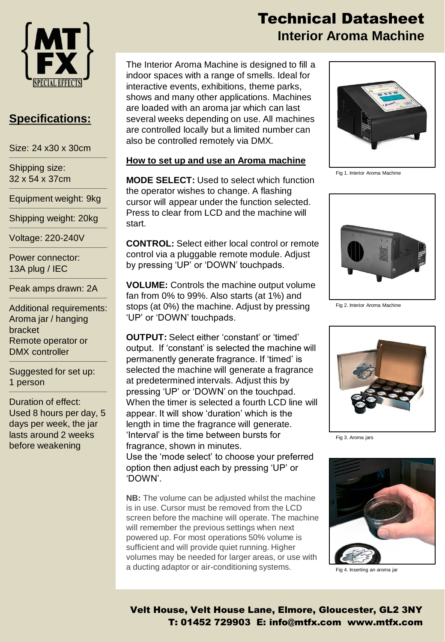

# **Specifications:**

Size: 24 x30 x 30cm  $\mathcal{L}_\text{max}$  and  $\mathcal{L}_\text{max}$  and  $\mathcal{L}_\text{max}$  are the set of the set of the set of the set of the set of the set of the set of the set of the set of the set of the set of the set of the set of the set of the set of th

Shipping size: 32 x 54 x 37cm  $\mathcal{L}_\text{max}$  and  $\mathcal{L}_\text{max}$  and  $\mathcal{L}_\text{max}$  are the set of the set of the set of the set of the set of the set of the set of the set of the set of the set of the set of the set of the set of the set of the set of th

Equipment weight: 9kg  $\mathcal{L}_\text{max}$  and  $\mathcal{L}_\text{max}$  and  $\mathcal{L}_\text{max}$  are the set of the set of the set of the set of the set of the set of the set of the set of the set of the set of the set of the set of the set of the set of the set of th

Shipping weight: 20kg  $\mathcal{L}_\text{max}$  and  $\mathcal{L}_\text{max}$  and  $\mathcal{L}_\text{max}$  are the set of the set of the set of the set of the set of the set of the set of the set of the set of the set of the set of the set of the set of the set of the set of th

 $\mathcal{L}_\text{max}$  and  $\mathcal{L}_\text{max}$  and  $\mathcal{L}_\text{max}$  are the set of the set of the set of the set of the set of the set of the set of the set of the set of the set of the set of the set of the set of the set of the set of th

Voltage: 220-240V

Power connector: 13A plug / IEC

 $\mathcal{L}_\text{max}$  and  $\mathcal{L}_\text{max}$  and  $\mathcal{L}_\text{max}$  and  $\mathcal{L}_\text{max}$  and  $\mathcal{L}_\text{max}$ Peak amps drawn: 2A  $\mathcal{L}_\text{max}$  and  $\mathcal{L}_\text{max}$  and  $\mathcal{L}_\text{max}$  and  $\mathcal{L}_\text{max}$  and  $\mathcal{L}_\text{max}$ 

Additional requirements: Aroma jar / hanging bracket Remote operator or DMX controller

 $\mathcal{L}_\text{max}$  and  $\mathcal{L}_\text{max}$  and  $\mathcal{L}_\text{max}$  and  $\mathcal{L}_\text{max}$  and  $\mathcal{L}_\text{max}$ 

Suggested for set up: 1 person  $\mathcal{L}_\text{max}$  and  $\mathcal{L}_\text{max}$  and  $\mathcal{L}_\text{max}$  and  $\mathcal{L}_\text{max}$  and  $\mathcal{L}_\text{max}$ 

Duration of effect: Used 8 hours per day, 5 days per week, the jar lasts around 2 weeks before weakening

# Technical Datasheet **Interior Aroma Machine**

The Interior Aroma Machine is designed to fill a indoor spaces with a range of smells. Ideal for interactive events, exhibitions, theme parks, shows and many other applications. Machines are loaded with an aroma jar which can last several weeks depending on use. All machines are controlled locally but a limited number can also be controlled remotely via DMX.

## **How to set up and use an Aroma machine**

**MODE SELECT:** Used to select which function the operator wishes to change. A flashing cursor will appear under the function selected. Press to clear from LCD and the machine will start.

**CONTROL:** Select either local control or remote control via a pluggable remote module. Adjust by pressing 'UP' or 'DOWN' touchpads.

**VOLUME:** Controls the machine output volume fan from 0% to 99%. Also starts (at 1%) and stops (at 0%) the machine. Adjust by pressing 'UP' or 'DOWN' touchpads.

**OUTPUT:** Select either 'constant' or 'timed' output. If 'constant' is selected the machine will permanently generate fragrance. If 'timed' is selected the machine will generate a fragrance at predetermined intervals. Adjust this by pressing 'UP' or 'DOWN' on the touchpad. When the timer is selected a fourth LCD line will appear. It will show 'duration' which is the length in time the fragrance will generate. 'Interval' is the time between bursts for fragrance, shown in minutes.

Use the 'mode select' to choose your preferred option then adjust each by pressing 'UP' or 'DOWN'.

**NB:** The volume can be adjusted whilst the machine is in use. Cursor must be removed from the LCD screen before the machine will operate. The machine will remember the previous settings when next powered up. For most operations 50% volume is sufficient and will provide quiet running. Higher volumes may be needed for larger areas, or use with a ducting adaptor or air-conditioning systems.



Fig 1. Interior Aroma Machine



Fig 2. Interior Aroma Machine



Fig 3. Aroma jars



Fig 4. Inserting an aroma jar

Velt House, Velt House Lane, Elmore, Gloucester, GL2 3NY T: 01452 729903 E: info@mtfx.com www.mtfx.com